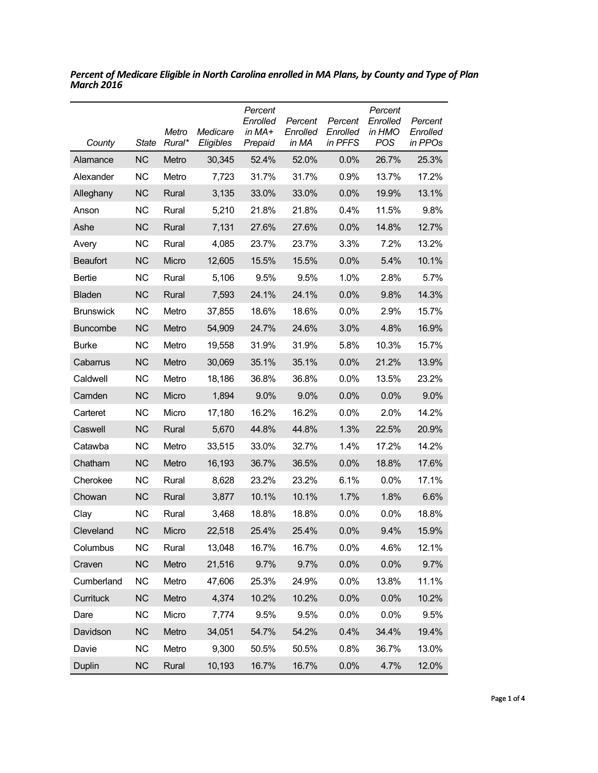| County           | <b>State</b> | Metro<br>Rural* | Medicare<br>Eligibles | Percent<br>Enrolled<br>in MA+<br>Prepaid | Percent<br>Enrolled<br>in MA | Percent<br>Enrolled<br>in PFFS | Percent<br>Enrolled<br>in HMO<br><b>POS</b> | Percent<br>Enrolled<br>in PPOs |
|------------------|--------------|-----------------|-----------------------|------------------------------------------|------------------------------|--------------------------------|---------------------------------------------|--------------------------------|
| Alamance         | <b>NC</b>    | Metro           | 30,345                | 52.4%                                    | 52.0%                        | 0.0%                           | 26.7%                                       | 25.3%                          |
| Alexander        | <b>NC</b>    | Metro           | 7,723                 | 31.7%                                    | 31.7%                        | 0.9%                           | 13.7%                                       | 17.2%                          |
| Alleghany        | <b>NC</b>    | Rural           | 3,135                 | 33.0%                                    | 33.0%                        | 0.0%                           | 19.9%                                       | 13.1%                          |
| Anson            | <b>NC</b>    | Rural           | 5,210                 | 21.8%                                    | 21.8%                        | 0.4%                           | 11.5%                                       | 9.8%                           |
| Ashe             | <b>NC</b>    | Rural           | 7,131                 | 27.6%                                    | 27.6%                        | 0.0%                           | 14.8%                                       | 12.7%                          |
| Avery            | <b>NC</b>    | Rural           | 4,085                 | 23.7%                                    | 23.7%                        | 3.3%                           | 7.2%                                        | 13.2%                          |
| <b>Beaufort</b>  | <b>NC</b>    | Micro           | 12,605                | 15.5%                                    | 15.5%                        | 0.0%                           | 5.4%                                        | 10.1%                          |
| <b>Bertie</b>    | ΝC           | Rural           | 5,106                 | 9.5%                                     | 9.5%                         | 1.0%                           | 2.8%                                        | 5.7%                           |
| Bladen           | <b>NC</b>    | Rural           | 7,593                 | 24.1%                                    | 24.1%                        | 0.0%                           | 9.8%                                        | 14.3%                          |
| <b>Brunswick</b> | <b>NC</b>    | Metro           | 37,855                | 18.6%                                    | 18.6%                        | 0.0%                           | 2.9%                                        | 15.7%                          |
| <b>Buncombe</b>  | <b>NC</b>    | Metro           | 54,909                | 24.7%                                    | 24.6%                        | 3.0%                           | 4.8%                                        | 16.9%                          |
| <b>Burke</b>     | <b>NC</b>    | Metro           | 19,558                | 31.9%                                    | 31.9%                        | 5.8%                           | 10.3%                                       | 15.7%                          |
| Cabarrus         | <b>NC</b>    | Metro           | 30,069                | 35.1%                                    | 35.1%                        | 0.0%                           | 21.2%                                       | 13.9%                          |
| Caldwell         | <b>NC</b>    | Metro           | 18,186                | 36.8%                                    | 36.8%                        | 0.0%                           | 13.5%                                       | 23.2%                          |
| Camden           | <b>NC</b>    | Micro           | 1,894                 | 9.0%                                     | 9.0%                         | 0.0%                           | 0.0%                                        | 9.0%                           |
| Carteret         | <b>NC</b>    | Micro           | 17,180                | 16.2%                                    | 16.2%                        | 0.0%                           | 2.0%                                        | 14.2%                          |
| Caswell          | <b>NC</b>    | Rural           | 5,670                 | 44.8%                                    | 44.8%                        | 1.3%                           | 22.5%                                       | 20.9%                          |
| Catawba          | <b>NC</b>    | Metro           | 33,515                | 33.0%                                    | 32.7%                        | 1.4%                           | 17.2%                                       | 14.2%                          |
| Chatham          | <b>NC</b>    | Metro           | 16,193                | 36.7%                                    | 36.5%                        | 0.0%                           | 18.8%                                       | 17.6%                          |
| Cherokee         | <b>NC</b>    | Rural           | 8,628                 | 23.2%                                    | 23.2%                        | 6.1%                           | $0.0\%$                                     | 17.1%                          |
| Chowan           | <b>NC</b>    | Rural           | 3,877                 | 10.1%                                    | 10.1%                        | 1.7%                           | 1.8%                                        | 6.6%                           |
| Clay             | <b>NC</b>    | Rural           | 3,468                 | 18.8%                                    | 18.8%                        | 0.0%                           | $0.0\%$                                     | 18.8%                          |
| Cleveland        | <b>NC</b>    | Micro           | 22,518                | 25.4%                                    | 25.4%                        | 0.0%                           | 9.4%                                        | 15.9%                          |
| Columbus         | <b>NC</b>    | Rural           | 13,048                | 16.7%                                    | 16.7%                        | 0.0%                           | 4.6%                                        | 12.1%                          |
| Craven           | NC           | Metro           | 21,516                | 9.7%                                     | 9.7%                         | 0.0%                           | 0.0%                                        | 9.7%                           |
| Cumberland       | <b>NC</b>    | Metro           | 47,606                | 25.3%                                    | 24.9%                        | 0.0%                           | 13.8%                                       | 11.1%                          |
| Currituck        | <b>NC</b>    | Metro           | 4,374                 | 10.2%                                    | 10.2%                        | 0.0%                           | 0.0%                                        | 10.2%                          |
| Dare             | <b>NC</b>    | Micro           | 7,774                 | 9.5%                                     | 9.5%                         | 0.0%                           | 0.0%                                        | 9.5%                           |
| Davidson         | <b>NC</b>    | Metro           | 34,051                | 54.7%                                    | 54.2%                        | 0.4%                           | 34.4%                                       | 19.4%                          |
| Davie            | <b>NC</b>    | Metro           | 9,300                 | 50.5%                                    | 50.5%                        | 0.8%                           | 36.7%                                       | 13.0%                          |
| Duplin           | <b>NC</b>    | Rural           | 10,193                | 16.7%                                    | 16.7%                        | 0.0%                           | 4.7%                                        | 12.0%                          |

*Percent of Medicare Eligible in North Carolina enrolled in MA Plans, by County and Type of Plan March 2016*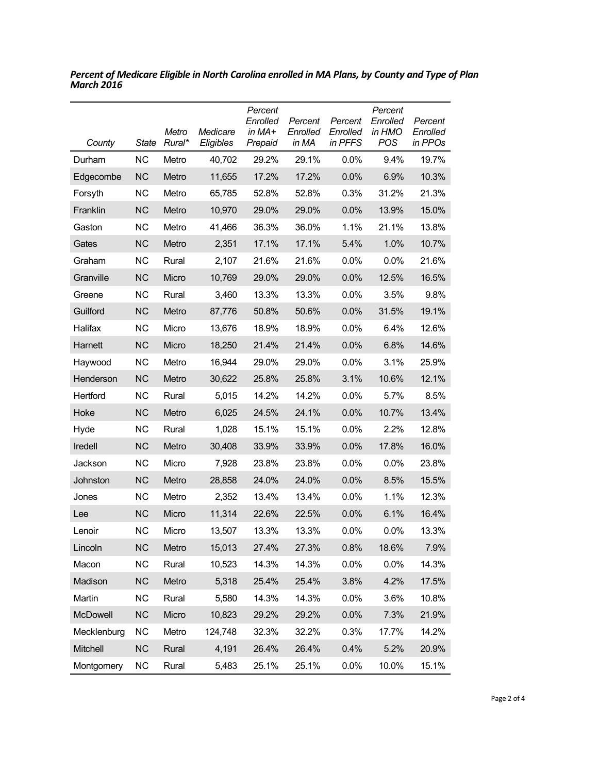| County      | <b>State</b> | Metro<br>Rural* | Medicare<br>Eligibles | Percent<br>Enrolled<br>in $MA+$<br>Prepaid | Percent<br>Enrolled<br>in MA | Percent<br>Enrolled<br>in PFFS | Percent<br>Enrolled<br>in HMO<br><b>POS</b> | Percent<br>Enrolled<br>in PPOs |
|-------------|--------------|-----------------|-----------------------|--------------------------------------------|------------------------------|--------------------------------|---------------------------------------------|--------------------------------|
| Durham      | <b>NC</b>    | Metro           | 40,702                | 29.2%                                      | 29.1%                        | $0.0\%$                        | 9.4%                                        | 19.7%                          |
| Edgecombe   | <b>NC</b>    | Metro           | 11,655                | 17.2%                                      | 17.2%                        | 0.0%                           | 6.9%                                        | 10.3%                          |
| Forsyth     | <b>NC</b>    | Metro           | 65,785                | 52.8%                                      | 52.8%                        | 0.3%                           | 31.2%                                       | 21.3%                          |
| Franklin    | <b>NC</b>    | Metro           | 10,970                | 29.0%                                      | 29.0%                        | 0.0%                           | 13.9%                                       | 15.0%                          |
| Gaston      | <b>NC</b>    | Metro           | 41,466                | 36.3%                                      | 36.0%                        | 1.1%                           | 21.1%                                       | 13.8%                          |
| Gates       | <b>NC</b>    | Metro           | 2,351                 | 17.1%                                      | 17.1%                        | 5.4%                           | 1.0%                                        | 10.7%                          |
| Graham      | ΝC           | Rural           | 2,107                 | 21.6%                                      | 21.6%                        | 0.0%                           | 0.0%                                        | 21.6%                          |
| Granville   | <b>NC</b>    | Micro           | 10,769                | 29.0%                                      | 29.0%                        | 0.0%                           | 12.5%                                       | 16.5%                          |
| Greene      | <b>NC</b>    | Rural           | 3,460                 | 13.3%                                      | 13.3%                        | 0.0%                           | 3.5%                                        | 9.8%                           |
| Guilford    | <b>NC</b>    | Metro           | 87,776                | 50.8%                                      | 50.6%                        | 0.0%                           | 31.5%                                       | 19.1%                          |
| Halifax     | NС           | Micro           | 13,676                | 18.9%                                      | 18.9%                        | 0.0%                           | 6.4%                                        | 12.6%                          |
| Harnett     | <b>NC</b>    | Micro           | 18,250                | 21.4%                                      | 21.4%                        | 0.0%                           | 6.8%                                        | 14.6%                          |
| Haywood     | ΝC           | Metro           | 16,944                | 29.0%                                      | 29.0%                        | 0.0%                           | 3.1%                                        | 25.9%                          |
| Henderson   | <b>NC</b>    | Metro           | 30,622                | 25.8%                                      | 25.8%                        | 3.1%                           | 10.6%                                       | 12.1%                          |
| Hertford    | <b>NC</b>    | Rural           | 5,015                 | 14.2%                                      | 14.2%                        | 0.0%                           | 5.7%                                        | 8.5%                           |
| Hoke        | <b>NC</b>    | Metro           | 6,025                 | 24.5%                                      | 24.1%                        | 0.0%                           | 10.7%                                       | 13.4%                          |
| Hyde        | <b>NC</b>    | Rural           | 1,028                 | 15.1%                                      | 15.1%                        | 0.0%                           | 2.2%                                        | 12.8%                          |
| Iredell     | <b>NC</b>    | Metro           | 30,408                | 33.9%                                      | 33.9%                        | 0.0%                           | 17.8%                                       | 16.0%                          |
| Jackson     | <b>NC</b>    | Micro           | 7,928                 | 23.8%                                      | 23.8%                        | 0.0%                           | 0.0%                                        | 23.8%                          |
| Johnston    | <b>NC</b>    | Metro           | 28,858                | 24.0%                                      | 24.0%                        | 0.0%                           | 8.5%                                        | 15.5%                          |
| Jones       | ΝC           | Metro           | 2,352                 | 13.4%                                      | 13.4%                        | 0.0%                           | 1.1%                                        | 12.3%                          |
| Lee         | <b>NC</b>    | Micro           | 11,314                | 22.6%                                      | 22.5%                        | 0.0%                           | 6.1%                                        | 16.4%                          |
| Lenoir      | <b>NC</b>    | Micro           | 13,507                | 13.3%                                      | 13.3%                        | 0.0%                           | 0.0%                                        | 13.3%                          |
| Lincoln     | <b>NC</b>    | Metro           | 15,013                | 27.4%                                      | 27.3%                        | 0.8%                           | 18.6%                                       | 7.9%                           |
| Macon       | <b>NC</b>    | Rural           | 10,523                | 14.3%                                      | 14.3%                        | 0.0%                           | 0.0%                                        | 14.3%                          |
| Madison     | <b>NC</b>    | Metro           | 5,318                 | 25.4%                                      | 25.4%                        | 3.8%                           | 4.2%                                        | 17.5%                          |
| Martin      | <b>NC</b>    | Rural           | 5,580                 | 14.3%                                      | 14.3%                        | 0.0%                           | 3.6%                                        | 10.8%                          |
| McDowell    | <b>NC</b>    | Micro           | 10,823                | 29.2%                                      | 29.2%                        | 0.0%                           | 7.3%                                        | 21.9%                          |
| Mecklenburg | <b>NC</b>    | Metro           | 124,748               | 32.3%                                      | 32.2%                        | 0.3%                           | 17.7%                                       | 14.2%                          |
| Mitchell    | <b>NC</b>    | Rural           | 4,191                 | 26.4%                                      | 26.4%                        | 0.4%                           | 5.2%                                        | 20.9%                          |
| Montgomery  | <b>NC</b>    | Rural           | 5,483                 | 25.1%                                      | 25.1%                        | 0.0%                           | 10.0%                                       | 15.1%                          |

*Percent of Medicare Eligible in North Carolina enrolled in MA Plans, by County and Type of Plan March 2016*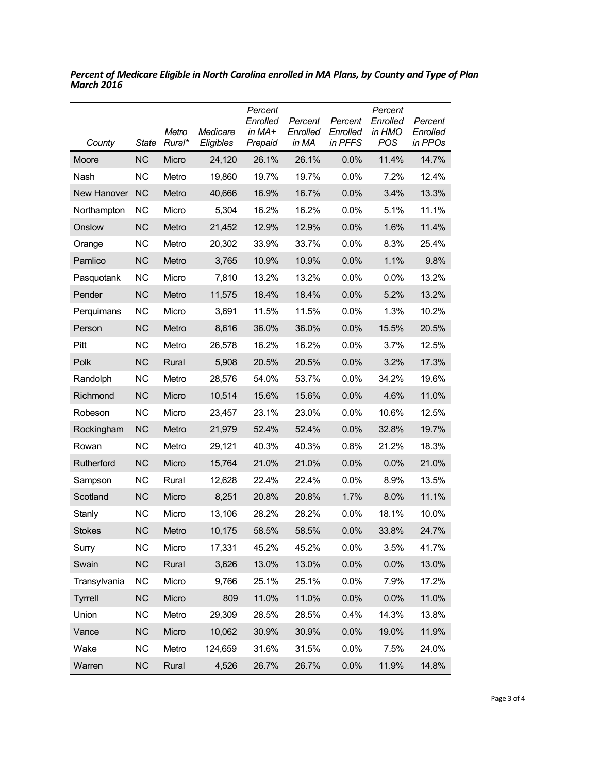| County         | <b>State</b> | Metro<br>Rural* | Medicare<br>Eligibles | Percent<br>Enrolled<br>in $MA+$<br>Prepaid | Percent<br>Enrolled<br>in MA | Percent<br>Enrolled<br>in PFFS | Percent<br>Enrolled<br>in HMO<br>POS | Percent<br>Enrolled<br>in PPOs |
|----------------|--------------|-----------------|-----------------------|--------------------------------------------|------------------------------|--------------------------------|--------------------------------------|--------------------------------|
| Moore          | <b>NC</b>    | Micro           | 24,120                | 26.1%                                      | 26.1%                        | 0.0%                           | 11.4%                                | 14.7%                          |
| Nash           | <b>NC</b>    | Metro           | 19,860                | 19.7%                                      | 19.7%                        | 0.0%                           | 7.2%                                 | 12.4%                          |
| New Hanover    | <b>NC</b>    | Metro           | 40,666                | 16.9%                                      | 16.7%                        | 0.0%                           | 3.4%                                 | 13.3%                          |
| Northampton    | NС           | Micro           | 5,304                 | 16.2%                                      | 16.2%                        | 0.0%                           | 5.1%                                 | 11.1%                          |
| Onslow         | <b>NC</b>    | Metro           | 21,452                | 12.9%                                      | 12.9%                        | 0.0%                           | 1.6%                                 | 11.4%                          |
| Orange         | <b>NC</b>    | Metro           | 20,302                | 33.9%                                      | 33.7%                        | 0.0%                           | 8.3%                                 | 25.4%                          |
| Pamlico        | <b>NC</b>    | Metro           | 3,765                 | 10.9%                                      | 10.9%                        | 0.0%                           | 1.1%                                 | 9.8%                           |
| Pasquotank     | <b>NC</b>    | Micro           | 7,810                 | 13.2%                                      | 13.2%                        | 0.0%                           | 0.0%                                 | 13.2%                          |
| Pender         | <b>NC</b>    | Metro           | 11,575                | 18.4%                                      | 18.4%                        | 0.0%                           | 5.2%                                 | 13.2%                          |
| Perquimans     | <b>NC</b>    | Micro           | 3,691                 | 11.5%                                      | 11.5%                        | 0.0%                           | 1.3%                                 | 10.2%                          |
| Person         | <b>NC</b>    | Metro           | 8,616                 | 36.0%                                      | 36.0%                        | 0.0%                           | 15.5%                                | 20.5%                          |
| Pitt           | <b>NC</b>    | Metro           | 26,578                | 16.2%                                      | 16.2%                        | 0.0%                           | 3.7%                                 | 12.5%                          |
| Polk           | <b>NC</b>    | Rural           | 5,908                 | 20.5%                                      | 20.5%                        | 0.0%                           | 3.2%                                 | 17.3%                          |
| Randolph       | <b>NC</b>    | Metro           | 28,576                | 54.0%                                      | 53.7%                        | 0.0%                           | 34.2%                                | 19.6%                          |
| Richmond       | <b>NC</b>    | Micro           | 10,514                | 15.6%                                      | 15.6%                        | 0.0%                           | 4.6%                                 | 11.0%                          |
| Robeson        | <b>NC</b>    | Micro           | 23,457                | 23.1%                                      | 23.0%                        | 0.0%                           | 10.6%                                | 12.5%                          |
| Rockingham     | <b>NC</b>    | Metro           | 21,979                | 52.4%                                      | 52.4%                        | 0.0%                           | 32.8%                                | 19.7%                          |
| Rowan          | <b>NC</b>    | Metro           | 29,121                | 40.3%                                      | 40.3%                        | 0.8%                           | 21.2%                                | 18.3%                          |
| Rutherford     | <b>NC</b>    | Micro           | 15,764                | 21.0%                                      | 21.0%                        | 0.0%                           | 0.0%                                 | 21.0%                          |
| Sampson        | NС           | Rural           | 12,628                | 22.4%                                      | 22.4%                        | 0.0%                           | 8.9%                                 | 13.5%                          |
| Scotland       | <b>NC</b>    | Micro           | 8,251                 | 20.8%                                      | 20.8%                        | 1.7%                           | 8.0%                                 | 11.1%                          |
| Stanly         | ΝC           | Micro           | 13,106                | 28.2%                                      | 28.2%                        | 0.0%                           | 18.1%                                | 10.0%                          |
| <b>Stokes</b>  | <b>NC</b>    | Metro           | 10,175                | 58.5%                                      | 58.5%                        | 0.0%                           | 33.8%                                | 24.7%                          |
| Surry          | <b>NC</b>    | Micro           | 17,331                | 45.2%                                      | 45.2%                        | 0.0%                           | 3.5%                                 | 41.7%                          |
| Swain          | <b>NC</b>    | Rural           | 3,626                 | 13.0%                                      | 13.0%                        | 0.0%                           | 0.0%                                 | 13.0%                          |
| Transylvania   | <b>NC</b>    | Micro           | 9,766                 | 25.1%                                      | 25.1%                        | 0.0%                           | 7.9%                                 | 17.2%                          |
| <b>Tyrrell</b> | <b>NC</b>    | Micro           | 809                   | 11.0%                                      | 11.0%                        | 0.0%                           | 0.0%                                 | 11.0%                          |
| Union          | <b>NC</b>    | Metro           | 29,309                | 28.5%                                      | 28.5%                        | 0.4%                           | 14.3%                                | 13.8%                          |
| Vance          | <b>NC</b>    | Micro           | 10,062                | 30.9%                                      | 30.9%                        | 0.0%                           | 19.0%                                | 11.9%                          |
| Wake           | <b>NC</b>    | Metro           | 124,659               | 31.6%                                      | 31.5%                        | 0.0%                           | 7.5%                                 | 24.0%                          |
| Warren         | NC           | Rural           | 4,526                 | 26.7%                                      | 26.7%                        | 0.0%                           | 11.9%                                | 14.8%                          |

*Percent of Medicare Eligible in North Carolina enrolled in MA Plans, by County and Type of Plan March 2016*